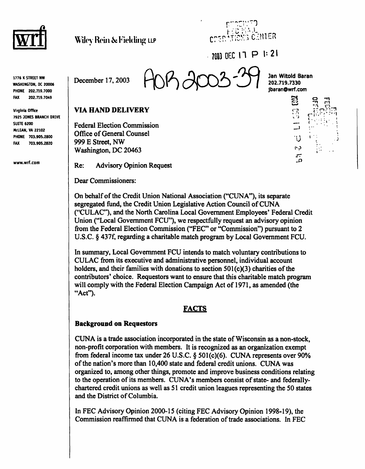



7003 DEC 17 P 1:21

1776 K STREET NW WASHINGTON, DC 20006 PHONE 202.719.7000 FAX 202.719.7049

Virginia Office 7925 JONES BRANCH DRIVE SUITE 6200 MCLEAN, VA 22102 PHONE 703.905.2800 FAX 703.905.2820

www.wrf.com



Jan Witold Baran 202.719.7330 jbaran@wrf.com o

<u>နှာ</u>

ς<sub>α</sub> F

-n

C" i<br>( . .

### VIA HAND DELIVERY

Federal Election Commission Office of General Counsel 999 E Street, NW Washington, DC 20463

Re: Advisory Opinion Request

Dear Commissioners:

On behalf of the Credit Union National Association ("CUNA"), its separate segregated fund, the Credit Union Legislative Action Council of CUNA ("CULAC"), and the North Carolina Local Government Employees' Federal Credit Union ("Local Government FCU"), we respectfully request an advisory opinion from the Federal Election Commission ("FEC" or "Commission") pursuant to 2 U.S.C. § 437f, regarding a charitable match program by Local Government FCU.

In summary, Local Government FCU intends to match voluntary contributions to CULAC from its executive and administrative personnel, individual account holders, and their families with donations to section 501(c)(3) charities of the contributors' choice. Requestors want to ensure that this charitable match program will comply with the Federal Election Campaign Act of 1971, as amended (the "Act").

### FACTS

#### Background on Requestors

CUNA is a trade association incorporated in the state of Wisconsin as a non-stock, non-profit corporation with members. It is recognized as an organization exempt from federal income tax under 26 U.S.C. § 501(c)(6). CUNA represents over 90% of the nation's more than 10,400 state and federal credit unions. CUNA was organized to, among other things, promote and improve business conditions relating to the operation of its members. CUNA's members consist of state- and federallychartered credit unions as well as 51 credit union leagues representing the 50 states and the District of Columbia.

In FEC Advisory Opinion 2000-15 (citing FEC Advisory Opinion 1998-19), the Commission reaffirmed that CUNA is a federation of trade associations. In FEC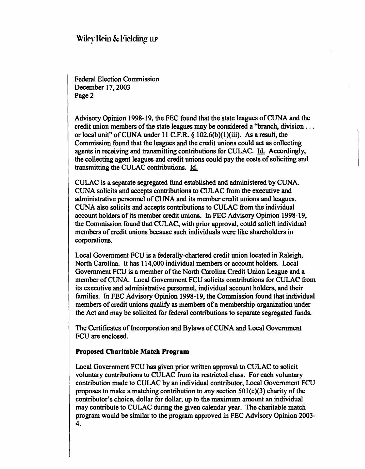Federal Election Commission December 17,2003 Page 2

Advisory Opinion 1998-19, the FEC found that the state leagues of CUNA and the credit union members of the state leagues may be considered a "branch, division ... or local unit" of CUNA under 11 C.F.R. § 102.6(b)(l)(iii). As a result, the Commission found that the leagues and the credit unions could act as collecting agents in receiving and transmitting contributions for CULAC. Id. Accordingly, the collecting agent leagues and credit unions could pay the costs of soliciting and transmitting the CULAC contributions. Id.

CULAC is a separate segregated fund established and administered by CUNA. CUNA solicits and accepts contributions to CULAC from the executive and administrative personnel of CUNA and its member credit unions and leagues. CUNA also solicits and accepts contributions to CULAC from the individual account holders of its member credit unions. In FEC Advisory Opinion 1998-19, the Commission found that CULAC, with prior approval, could solicit individual members of credit unions because such individuals were like shareholders in corporations.

Local Government FCU is a federally-chartered credit union located in Raleigh, North Carolina. It has 114,000 individual members or account holders. Local Government FCU is a member of the North Carolina Credit Union League and a member of CUNA. Local Government FCU solicits contributions for CULAC from its executive and administrative personnel, individual account holders, and their families. In FEC Advisory Opinion 1998-19, the Commission found that individual members of credit unions qualify as members of a membership organization under the Act and may be solicited for federal contributions to separate segregated funds.

The Certificates of Incorporation and Bylaws of CUNA and Local Government FCU are enclosed.

### Proposed Charitable Match Program

Local Government FCU has given prior written approval to CULAC to solicit voluntary contributions to CULAC from its restricted class. For each voluntary contribution made to CULAC by an individual contributor, Local Government FCU proposes to make a matching contribution to any section  $501(c)(3)$  charity of the contributor's choice, dollar for dollar, up to the maximum amount an individual may contribute to CULAC during the given calendar year. The charitable match program would be similar to the program approved in FEC Advisory Opinion 2003- 4.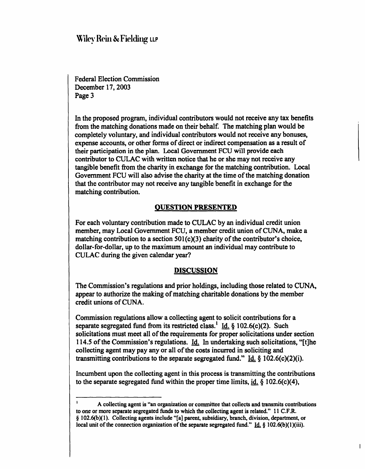Federal Election Commission December 17,2003 Page 3

In the proposed program, individual contributors would not receive any tax benefits from the matching donations made on their behalf. The matching plan would be completely voluntary, and individual contributors would not receive any bonuses, expense accounts, or other forms of direct or indirect compensation as a result of their participation in the plan. Local Government FCU will provide each contributor to CULAC with written notice that he or she may not receive any tangible benefit from the charity in exchange for the matching contribution. Local Government FCU will also advise the charity at the time of the matching donation that the contributor may not receive any tangible benefit in exchange for the matching contribution.

### QUESTION PRESENTED

For each voluntary contribution made to CULAC by an individual credit union member, may Local Government FCU, a member credit union of CUNA, make a matching contribution to a section  $501(c)(3)$  charity of the contributor's choice, dollar-for-dollar, up to the maximum amount an individual may contribute to CULAC during the given calendar year?

#### **DISCUSSION**

The Commission's regulations and prior holdings, including those related to CUNA, appear to authorize the making of matching charitable donations by the member credit unions of CUNA.

Commission regulations allow a collecting agent to solicit contributions for a separate segregated fund from its restricted class.<sup>1</sup> Id. § 102.6(c)(2). Such solicitations must meet all of the requirements for proper solicitations under section 114.5 of the Commission's regulations. Id. In undertaking such solicitations, "[t]he collecting agent may pay any or all of the costs incurred in soliciting and transmitting contributions to the separate segregated fund." Id.  $\S$  102.6(c)(2)(i).

Incumbent upon the collecting agent in this process is transmitting the contributions to the separate segregated fund within the proper time limits, id.  $\S$  102.6(c)(4),

 $\overline{1}$ 

<sup>1</sup> A collecting agent is "an organization or committee that collects and transmits contributions to one or more separate segregated funds to which the collecting agent is related." 11 C.F.R. § 102.6(b)(l). Collecting agents include "[a] parent, subsidiary, branch, division, department, or local unit of the connection organization of the separate segregated fund." Id. § 102.6(b)(1)(iii).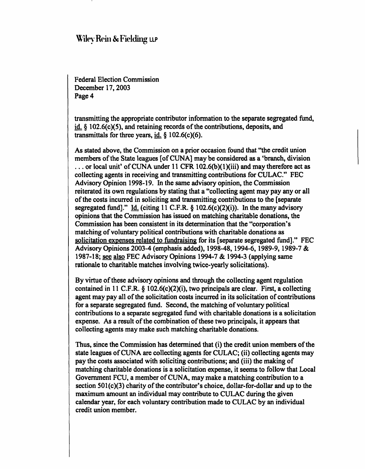Federal Election Commission December 17,2003 Page 4

transmitting the appropriate contributor information to the separate segregated fund,  $id. \S$  102.6(c)(5), and retaining records of the contributions, deposits, and transmittals for three years,  $id. \S$  102.6(c)(6).

As stated above, the Commission on a prior occasion found that "the credit union members of the State leagues [of CUNA] may be considered as a 'branch, division  $\ldots$  or local unit' of CUNA under 11 CFR 102.6(b)(1)(iii) and may therefore act as collecting agents in receiving and transmitting contributions for CULAC." FEC Advisory Opinion 1998-19. In the same advisory opinion, the Commission reiterated its own regulations by stating that a "collecting agent may pay any or all of the costs incurred in soliciting and transmitting contributions to the [separate segregated fund]." Id. (citing 11 C.F.R.  $\S$  102.6(c)(2)(i)). In the many advisory opinions that the Commission has issued on matching charitable donations, the Commission has been consistent in its determination that the "corporation's matching of voluntary political contributions with charitable donations as solicitation expenses related to fundraising for its [separate segregated fund]." FEC Advisory Opinions 2003-4 (emphasis added), 1998-48,1994-6, 1989-9,1989-7 & 1987-18; see also FEC Advisory Opinions 1994-7 & 1994-3 (applying same rationale to charitable matches involving twice-yearly solicitations).

By virtue of these advisory opinions and through the collecting agent regulation contained in 11 C.F.R. § 102.6(c)(2)(i), two principals are clear. First, a collecting agent may pay all of the solicitation costs incurred in its solicitation of contributions for a separate segregated fund. Second, the matching of voluntary political contributions to a separate segregated fund with charitable donations is a solicitation expense. As a result of the combination of these two principals, it appears that collecting agents may make such matching charitable donations.

Thus, since the Commission has determined that (i) the credit union members of the state leagues of CUNA are collecting agents for CULAC; (ii) collecting agents may pay the costs associated with soliciting contributions; and (iii) the making of matching charitable donations is a solicitation expense, it seems to follow that Local Government FCU, a member of CUNA, may make a matching contribution to a section 501(c)(3) charity of the contributor's choice, dollar-for-dollar and up to the maximum amount an individual may contribute to CULAC during the given calendar year, for each voluntary contribution made to CULAC by an individual credit union member.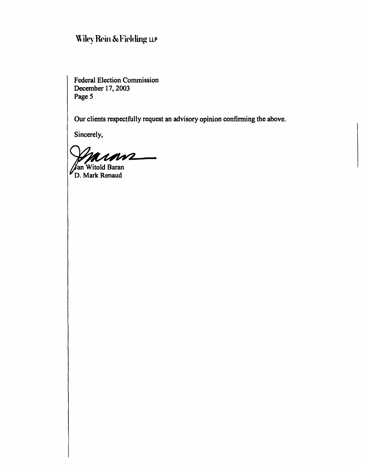Federal Election Commission December 17,2003 Page 5

Our clients respectfully request an advisory opinion confirming the above.

Sincerely,

ramz  $\overline{\phantom{0}}$ 

**Jan Witold Baran** D. Mark Renaud